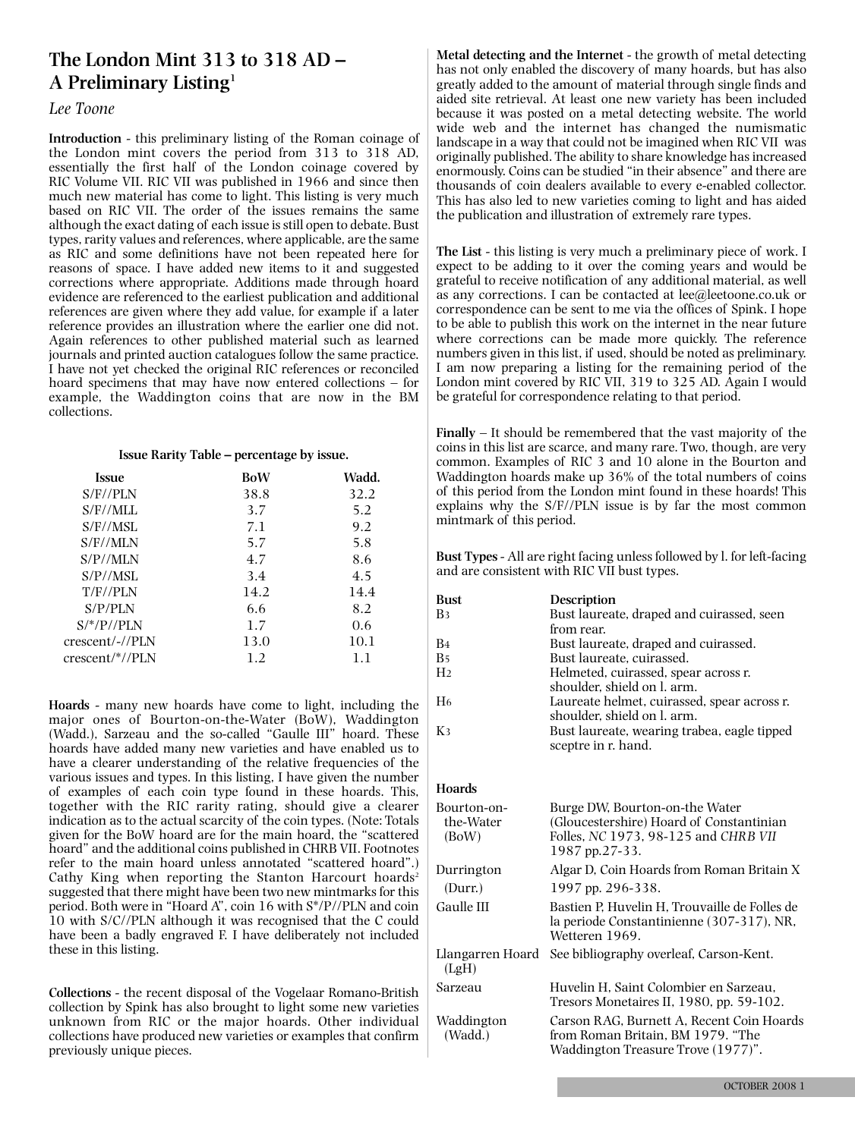# **The London Mint 313 to 318 AD – A Preliminary Listing1**

# *Lee Toone*

**Introduction** - this preliminary listing of the Roman coinage of the London mint covers the period from 313 to 318 AD, essentially the first half of the London coinage covered by RIC Volume VII. RIC VII was published in 1966 and since then much new material has come to light. This listing is very much based on RIC VII. The order of the issues remains the same although the exact dating of each issue isstill open to debate. Bust types, rarity values and references, where applicable, are the same as RIC and some definitions have not been repeated here for reasons of space. I have added new items to it and suggested corrections where appropriate. Additions made through hoard evidence are referenced to the earliest publication and additional references are given where they add value, for example if a later reference provides an illustration where the earlier one did not. Again references to other published material such as learned journals and printed auction catalogues follow the same practice. I have not yet checked the original RIC references or reconciled hoard specimens that may have now entered collections – for example, the Waddington coins that are now in the BM collections.

### **Issue Rarity Table – percentage by issue.**

| <b>Issue</b>    | BoW  | Wadd. |
|-----------------|------|-------|
| $S/F/$ PLN      | 38.8 | 32.2  |
| S/F/MLL         | 3.7  | 5.2   |
| S/F//MSL        | 7.1  | 9.2   |
| S/F/MLN         | 5.7  | 5.8   |
| S/P/MLN         | 4.7  | 8.6   |
| S/P/MSL         | 3.4  | 4.5   |
| T/F//PLN        | 14.2 | 14.4  |
| S/P/PLN         | 6.6  | 8.2   |
| $S/*/P//PLN$    | 1.7  | 0.6   |
| crescent/-//PLN | 13.0 | 10.1  |
| crescent/*//PLN | 1.2  | 1.1   |
|                 |      |       |

**Hoards** - many new hoards have come to light, including the major ones of Bourton-on-the-Water (BoW), Waddington (Wadd.), Sarzeau and the so-called "Gaulle III" hoard. These hoards have added many new varieties and have enabled us to have a clearer understanding of the relative frequencies of the various issues and types. In this listing, I have given the number of examples of each coin type found in these hoards. This, together with the RIC rarity rating, should give a clearer indication as to the actual scarcity of the coin types. (Note: Totals given for the BoW hoard are for the main hoard, the "scattered hoard" and the additional coins published in CHRB VII. Footnotes refer to the main hoard unless annotated "scattered hoard".) Cathy King when reporting the Stanton Harcourt hoards<sup>2</sup> suggested that there might have been two new mintmarks for this period. Both were in "Hoard A", coin 16 with S\*/P//PLN and coin 10 with S/C//PLN although it was recognised that the C could have been a badly engraved F. I have deliberately not included these in this listing.

**Collections** - the recent disposal of the Vogelaar Romano-British collection by Spink has also brought to light some new varieties unknown from RIC or the major hoards. Other individual collections have produced new varieties or examples that confirm previously unique pieces.

**Metal detecting and the Internet** - the growth of metal detecting has not only enabled the discovery of many hoards, but has also greatly added to the amount of material through single finds and aided site retrieval. At least one new variety has been included because it was posted on a metal detecting website. The world wide web and the internet has changed the numismatic landscape in a way that could not be imagined when RIC VII was originally published. The ability to share knowledge has increased enormously. Coins can be studied "in their absence" and there are thousands of coin dealers available to every e-enabled collector. This has also led to new varieties coming to light and has aided the publication and illustration of extremely rare types.

**The List** - this listing is very much a preliminary piece of work. I expect to be adding to it over the coming years and would be grateful to receive notification of any additional material, as well as any corrections. I can be contacted at lee@leetoone.co.uk or correspondence can be sent to me via the offices of Spink. I hope to be able to publish this work on the internet in the near future where corrections can be made more quickly. The reference numbers given in this list, if used, should be noted as preliminary. I am now preparing a listing for the remaining period of the London mint covered by RIC VII, 319 to 325 AD. Again I would be grateful for correspondence relating to that period.

**Finally** – It should be remembered that the vast majority of the coins in this list are scarce, and many rare. Two, though, are very common. Examples of RIC 3 and 10 alone in the Bourton and Waddington hoards make up 36% of the total numbers of coins of this period from the London mint found in these hoards! This explains why the S/F//PLN issue is by far the most common mintmark of this period.

**Bust Types** - All are right facing unless followed by l. for left-facing and are consistent with RIC VII bust types.

| Bust           | <b>Description</b>                          |
|----------------|---------------------------------------------|
| B3             | Bust laureate, draped and cuirassed, seen   |
|                | from rear.                                  |
| B <sub>4</sub> | Bust laureate, draped and cuirassed.        |
| B <sub>5</sub> | Bust laureate, cuirassed.                   |
| H <sub>2</sub> | Helmeted, cuirassed, spear across r.        |
|                | shoulder, shield on l. arm.                 |
| H <sub>6</sub> | Laureate helmet, cuirassed, spear across r. |
|                | shoulder, shield on l. arm.                 |
| Kз             | Bust laureate, wearing trabea, eagle tipped |
|                | sceptre in r. hand.                         |

### **Hoards**

| Bourton-on-<br>the-Water<br>(BoW) | Burge DW, Bourton-on-the Water<br>(Gloucestershire) Hoard of Constantinian<br>Folles, NC 1973, 98-125 and CHRB VII<br>1987 pp.27-33. |
|-----------------------------------|--------------------------------------------------------------------------------------------------------------------------------------|
| Durrington                        | Algar D, Coin Hoards from Roman Britain X                                                                                            |
| (Durr.)                           | 1997 pp. 296-338.                                                                                                                    |
| Gaulle III                        | Bastien P, Huvelin H, Trouvaille de Folles de<br>la periode Constantinienne (307-317), NR,<br>Wetteren 1969.                         |
| Llangarren Hoard<br>(LgH)         | See bibliography overleaf, Carson-Kent.                                                                                              |
| Sarzeau                           | Huvelin H. Saint Colombier en Sarzeau.<br>Tresors Monetaires II, 1980, pp. 59-102.                                                   |
| Waddington<br>(Wadd.)             | Carson RAG, Burnett A, Recent Coin Hoards<br>from Roman Britain, BM 1979. "The<br>Waddington Treasure Trove (1977)".                 |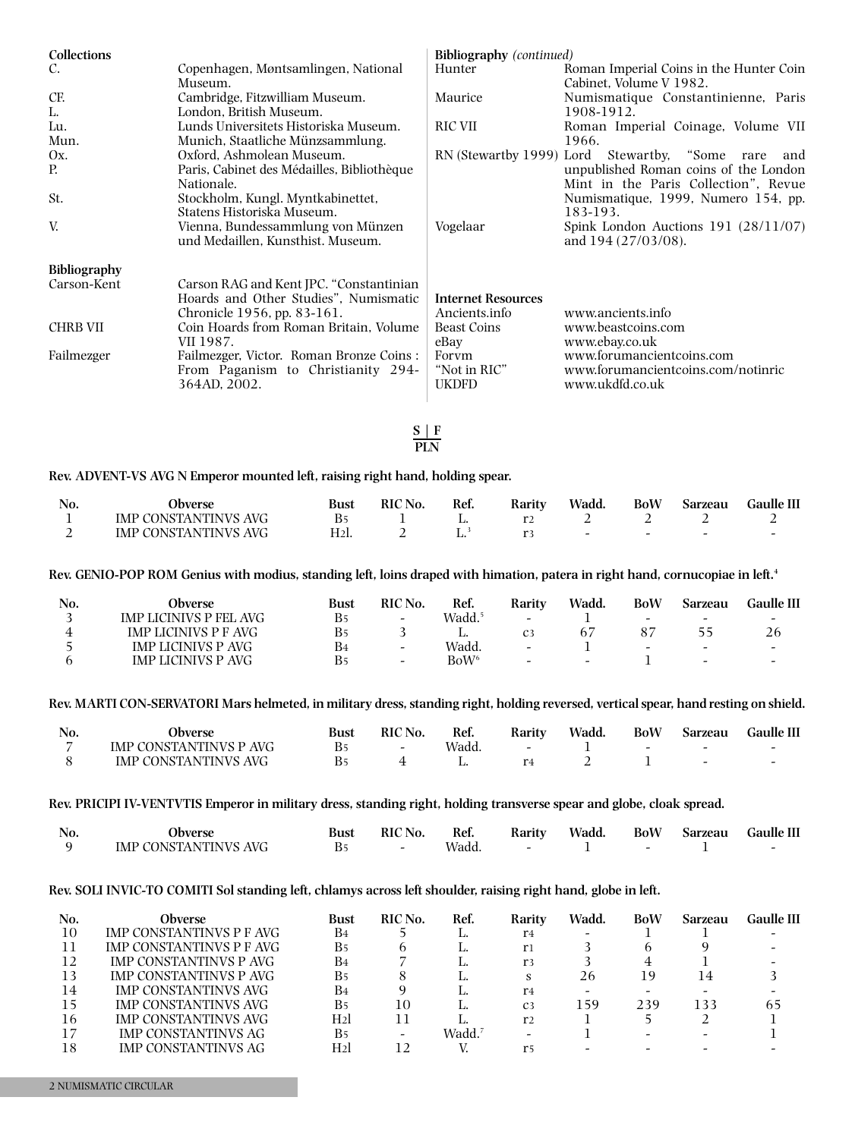| Collections         |                                                                                                                 | <b>Bibliography</b> (continued)            |                                                                                    |
|---------------------|-----------------------------------------------------------------------------------------------------------------|--------------------------------------------|------------------------------------------------------------------------------------|
| C.                  | Copenhagen, Møntsamlingen, National<br>Museum.                                                                  | Hunter                                     | Roman Imperial Coins in the Hunter Coin<br>Cabinet, Volume V 1982.                 |
| CF.                 | Cambridge, Fitzwilliam Museum.                                                                                  | Maurice                                    | Numismatique Constantinienne, Paris                                                |
| L.                  | London, British Museum.                                                                                         |                                            | 1908-1912.                                                                         |
| Lu.                 | Lunds Universitets Historiska Museum.                                                                           | <b>RIC VII</b>                             | Roman Imperial Coinage, Volume VII                                                 |
| Mun.                | Munich, Staatliche Münzsammlung.                                                                                |                                            | 1966.                                                                              |
| Ox.                 | Oxford, Ashmolean Museum.                                                                                       | RN (Stewartby 1999) Lord                   | Stewartby, "Some<br>rare<br>and                                                    |
| Р.                  | Paris, Cabinet des Médailles, Bibliothèque<br>Nationale.                                                        |                                            | unpublished Roman coins of the London<br>Mint in the Paris Collection", Revue      |
| St.                 | Stockholm, Kungl. Myntkabinettet,<br>Statens Historiska Museum.                                                 |                                            | Numismatique, 1999, Numero 154, pp.<br>183-193.                                    |
| V.                  | Vienna, Bundessammlung von Münzen<br>und Medaillen, Kunsthist. Museum.                                          | Vogelaar                                   | Spink London Auctions $191 (28/11/07)$<br>and 194 (27/03/08).                      |
| <b>Bibliography</b> |                                                                                                                 |                                            |                                                                                    |
| Carson-Kent         | Carson RAG and Kent JPC. "Constantinian<br>Hoards and Other Studies", Numismatic<br>Chronicle 1956, pp. 83-161. | <b>Internet Resources</b><br>Ancients.info | www.ancients.info                                                                  |
| CHRB VII            | Coin Hoards from Roman Britain, Volume<br>VII 1987.                                                             | <b>Beast Coins</b><br>eBay                 | www.beastcoins.com<br>www.ebay.co.uk                                               |
| Failmezger          | Failmezger, Victor. Roman Bronze Coins :<br>From Paganism to Christianity 294-<br>364AD, 2002.                  | Forym<br>"Not in RIC"<br><b>UKDFD</b>      | www.forumancientcoins.com<br>www.forumancientcoins.com/notinric<br>www.ukdfd.co.uk |

**S | F PLN**

# **Rev. ADVENT-VS AVG N Emperor mounted left, raising right hand, holding spear.**

| No. | .)bverse                    | Bust           | RIC No. | Ref. | Raritv | <b>Wadd</b>              | <b>BoW</b> | <b>Sarzeau</b> | Gaulle III |
|-----|-----------------------------|----------------|---------|------|--------|--------------------------|------------|----------------|------------|
|     | <b>IMP CONSTANTINVS AVG</b> |                |         |      |        |                          |            |                |            |
|     | <b>IMP CONSTANTINVS AVG</b> | H <sub>2</sub> |         |      |        | $\overline{\phantom{0}}$ | -          |                |            |

Rev. GENIO-POP ROM Genius with modius, standing left, loins draped with himation, patera in right hand, cornucopiae in left.<sup>4</sup>

| No. | Obverse                   | Bust           | <b>RIC</b> No.           | Ref.               | Rarity                   | Wadd.                    | <b>BoW</b>               | Sarzeau                  | Gaulle III |
|-----|---------------------------|----------------|--------------------------|--------------------|--------------------------|--------------------------|--------------------------|--------------------------|------------|
|     | IMP LICINIVS P FEL AVG    | Β5             | $\overline{\phantom{a}}$ | Wadd. <sup>5</sup> | $\overline{\phantom{a}}$ |                          | $\overline{\phantom{0}}$ | -                        | -          |
|     | IMP LICINIVS P F AVG      | Β5             |                          | L.                 | C <sub>3</sub>           |                          |                          | 55                       | 26         |
|     | <b>IMP LICINIVS P AVG</b> | B <sub>4</sub> | $\overline{\phantom{0}}$ | Wadd.              | $\sim$                   |                          | $\overline{\phantom{0}}$ | $\overline{\phantom{a}}$ | -          |
|     | <b>IMP LICINIVS P AVG</b> | B5             | -                        | $BoW^6$            | $\sim$                   | $\overline{\phantom{0}}$ |                          | -                        | -          |
|     |                           |                |                          |                    |                          |                          |                          |                          |            |

Rev. MARTI CON-SERVATORI Mars helmeted, in military dress, standing right, holding reversed, vertical spear, hand resting on shield.

| No. | <b>Jbverse</b>                | Bust | <b>RIC No.</b>           | Ref.  | Raritv | Wadd. | <b>BoW</b> | <b>Sarzeau</b> | Gaulle III |
|-----|-------------------------------|------|--------------------------|-------|--------|-------|------------|----------------|------------|
|     | <b>IMP CONSTANTINVS P AVG</b> |      | $\overline{\phantom{0}}$ | Wadd. |        |       |            |                |            |
|     | <b>IMP CONSTANTINVS AVG</b>   |      |                          |       |        |       |            |                |            |

Rev. PRICIPI IV-VENTVTIS Emperor in military dress, standing right, holding transverse spear and globe, cloak spread.

| No. | . Jbverse                   | Bust | <b>RIC</b> No.           | Ref.  | Rarity | Wadd. | <b>BoW</b> | Sarzeau | <b>Gaulle III</b> |
|-----|-----------------------------|------|--------------------------|-------|--------|-------|------------|---------|-------------------|
|     | <b>IMP CONSTANTINVS AVG</b> |      | $\overline{\phantom{0}}$ | Wadd. |        |       |            |         |                   |

## Rev. SOLI INVIC-TO COMITI Sol standing left, chlamys across left shoulder, raising right hand, globe in left.

| No. | <b>Obverse</b>             | Bust                  | RIC No. | Ref.               | Rarity         | Wadd. | <b>BoW</b> | Sarzeau | Gaulle III |
|-----|----------------------------|-----------------------|---------|--------------------|----------------|-------|------------|---------|------------|
| 10  | IMP CONSTANTINVS P F AVG   | B4                    |         |                    | r <sub>4</sub> |       |            |         |            |
|     | IMP CONSTANTINVS P F AVG   | <b>B</b> <sub>5</sub> |         |                    | r1             |       |            |         |            |
| 12  | IMP CONSTANTINVS P AVG     | B4                    |         |                    | r3             |       |            |         |            |
| 13  | IMP CONSTANTINVS P AVG     | B5                    |         |                    | s              | 26    | 19         |         |            |
| 14  | IMP CONSTANTINVS AVG       | B <sub>4</sub>        |         |                    | r <sub>4</sub> |       |            |         |            |
| 15  | IMP CONSTANTINVS AVG       | <b>B</b> <sub>5</sub> | 10      |                    | C <sub>3</sub> | 159   | 239        | 133     | h5         |
| 16  | IMP CONSTANTINVS AVG       | H <sub>2</sub>        |         |                    | r <sub>2</sub> |       |            |         |            |
| 17  | <b>IMP CONSTANTINVS AG</b> | <b>B</b> <sub>5</sub> |         | Wadd. <sup>7</sup> |                |       |            |         |            |
| 18  | IMP CONSTANTINVS AG        | H <sub>2</sub>        |         |                    | r5             |       |            |         |            |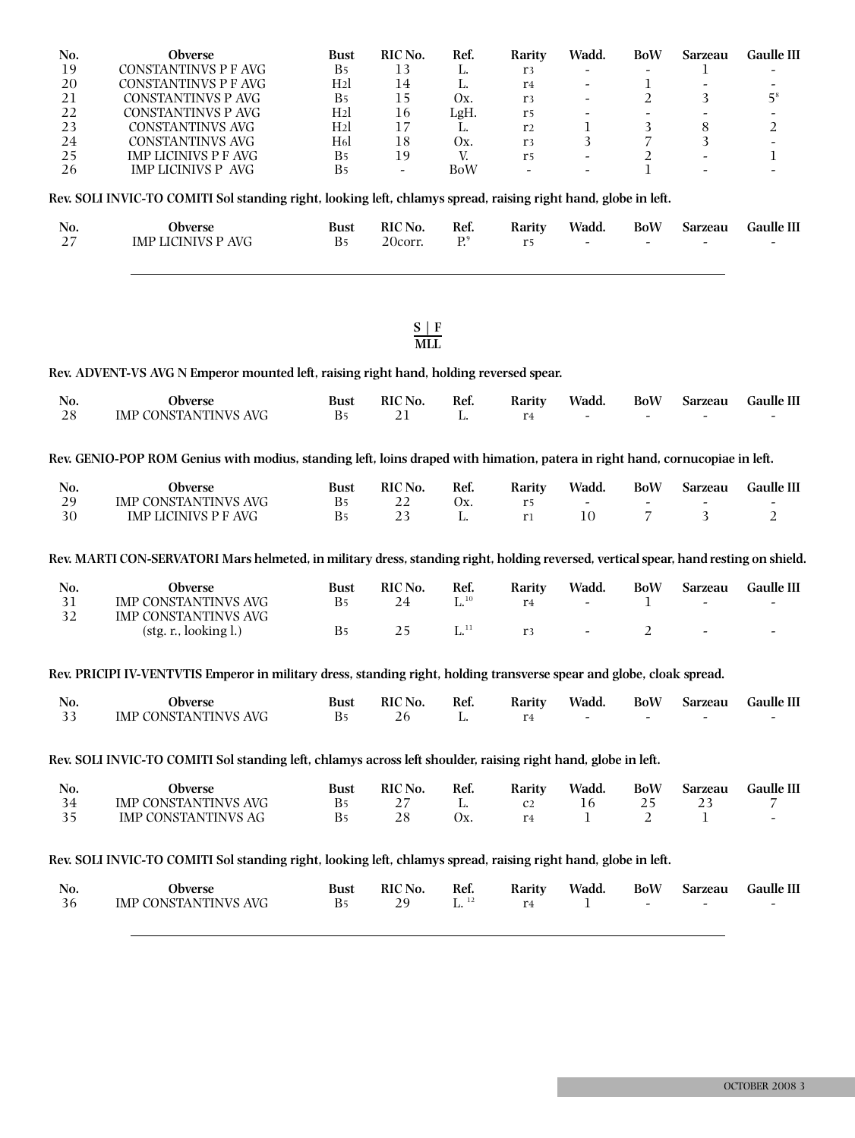| No. | Obverse                                                                                                                              | <b>Bust</b>      | RIC No.                | Ref.                 | Rarity         | Wadd.                    | <b>BoW</b>     | Sarzeau                      | Gaulle III        |
|-----|--------------------------------------------------------------------------------------------------------------------------------------|------------------|------------------------|----------------------|----------------|--------------------------|----------------|------------------------------|-------------------|
| 19  | <b>CONSTANTINVS P F AVG</b>                                                                                                          | B <sub>5</sub>   | 13                     | L.                   | r <sub>3</sub> |                          |                | 1                            |                   |
| 20  | <b>CONSTANTINVS P F AVG</b>                                                                                                          | H <sub>2</sub>   | 14                     | L.                   | r <sub>4</sub> |                          | $\mathbf{1}$   | $\qquad \qquad \blacksquare$ |                   |
| 21  | <b>CONSTANTINVS P AVG</b>                                                                                                            | B5               | 15                     | Ox.                  | r3             |                          | $\overline{2}$ | 3                            | 5 <sup>8</sup>    |
| 22  | <b>CONSTANTINVS P AVG</b>                                                                                                            | H <sub>2</sub>   | 16                     | LgH.                 | r <sub>5</sub> | $\overline{\phantom{a}}$ | $\frac{1}{2}$  | $\frac{1}{2}$                | $\frac{1}{2}$     |
| 23  | <b>CONSTANTINVS AVG</b>                                                                                                              | H <sub>2</sub>   | 17                     | L.                   | r <sub>2</sub> | 1                        | 3              | $8\,$                        | $\boldsymbol{2}$  |
| 24  | <b>CONSTANTINVS AVG</b>                                                                                                              | H <sub>6</sub> l | 18                     | Ox.                  | r <sub>3</sub> | 3                        | $\overline{7}$ | 3                            | $\overline{a}$    |
| 25  | <b>IMP LICINIVS P F AVG</b>                                                                                                          | B <sub>5</sub>   | 19                     | V.                   | r <sub>5</sub> | $\overline{a}$           | $\overline{2}$ |                              | $\mathbf 1$       |
| 26  | <b>IMP LICINIVS P AVG</b>                                                                                                            | B <sub>5</sub>   | $\overline{a}$         | <b>BoW</b>           | $\blacksquare$ | $\overline{a}$           | $\mathbf{1}$   |                              |                   |
|     | Rev. SOLI INVIC-TO COMITI Sol standing right, looking left, chlamys spread, raising right hand, globe in left.                       |                  |                        |                      |                |                          |                |                              |                   |
| No. | Obverse                                                                                                                              | <b>Bust</b>      | RIC No.                | Ref.                 | Rarity         | Wadd.                    | <b>BoW</b>     | Sarzeau                      | <b>Gaulle III</b> |
| 27  | <b>IMP LICINIVS P AVG</b>                                                                                                            | B <sub>5</sub>   | 20corr.                | P <sup>9</sup>       | r <sub>5</sub> |                          |                |                              |                   |
|     |                                                                                                                                      |                  | $\frac{S \mid F}{MLL}$ |                      |                |                          |                |                              |                   |
|     | Rev. ADVENT-VS AVG N Emperor mounted left, raising right hand, holding reversed spear.                                               |                  |                        |                      |                |                          |                |                              |                   |
| No. | Obverse                                                                                                                              | <b>Bust</b>      | RIC No.                | Ref.                 | Rarity         | Wadd.                    | <b>BoW</b>     | Sarzeau                      | <b>Gaulle III</b> |
| 28  | IMP CONSTANTINVS AVG                                                                                                                 | B <sub>5</sub>   | 21                     | L.                   | r <sub>4</sub> |                          |                |                              |                   |
|     | Rev. GENIO-POP ROM Genius with modius, standing left, loins draped with himation, patera in right hand, cornucopiae in left.         |                  |                        |                      |                |                          |                |                              |                   |
| No. | Obverse                                                                                                                              | <b>Bust</b>      | RIC No.                | Ref.                 | Rarity         | Wadd.                    | <b>BoW</b>     | Sarzeau                      | <b>Gaulle III</b> |
| 29  | <b>IMP CONSTANTINVS AVG</b>                                                                                                          | B <sub>5</sub>   | 22                     | Ox.                  | $\rm r5$       |                          |                |                              |                   |
| 30  | <b>IMP LICINIVS P F AVG</b>                                                                                                          | B <sub>5</sub>   | 23                     | L.                   | r <sub>1</sub> | 10                       | $\overline{7}$ | 3                            | $\overline{2}$    |
|     | Rev. MARTI CON-SERVATORI Mars helmeted, in military dress, standing right, holding reversed, vertical spear, hand resting on shield. |                  |                        |                      |                |                          |                |                              |                   |
| No. | Obverse                                                                                                                              | <b>Bust</b>      | RIC No.                | Ref.                 | Rarity         | Wadd.                    | <b>BoW</b>     | <b>Sarzeau</b>               | <b>Gaulle III</b> |
| 31  | <b>IMP CONSTANTINVS AVG</b>                                                                                                          | B <sub>5</sub>   | 24                     | $\mathbf{L}^{,10}$   | r <sub>4</sub> | $\overline{a}$           | 1              |                              |                   |
| 32  | IMP CONSTANTINVS AVG                                                                                                                 |                  |                        |                      |                |                          |                |                              |                   |
|     | (stg. r., looking l.)                                                                                                                | B <sub>5</sub>   | 25                     | $\mathbf{L}^{^{11}}$ | r <sub>3</sub> |                          | 2              |                              |                   |
|     | Rev. PRICIPI IV-VENTVTIS Emperor in military dress, standing right, holding transverse spear and globe, cloak spread.                |                  |                        |                      |                |                          |                |                              |                   |
| No. | Obverse                                                                                                                              | <b>Bust</b>      | RIC No.                | Ref.                 | Rarity         | Wadd.                    | <b>BoW</b>     | Sarzeau                      | <b>Gaulle III</b> |
| 33  | <b>IMP CONSTANTINVS AVG</b>                                                                                                          | B <sub>5</sub>   | 26                     | L.                   | r <sub>4</sub> |                          |                |                              |                   |
|     | Rev. SOLI INVIC-TO COMITI Sol standing left, chlamys across left shoulder, raising right hand, globe in left.                        |                  |                        |                      |                |                          |                |                              |                   |
| No. | Obverse                                                                                                                              | <b>Bust</b>      | RIC No.                | Ref.                 | Rarity         | Wadd.                    | <b>BoW</b>     | Sarzeau                      | <b>Gaulle III</b> |
| 34  | IMP CONSTANTINVS AVG                                                                                                                 | B <sub>5</sub>   | 27                     | L.                   | C <sub>2</sub> | 16                       | 25             | 23                           | 7                 |
| 35  | <b>IMP CONSTANTINVS AG</b>                                                                                                           | B5               | 28                     | Ox.                  | r <sub>4</sub> | 1                        | 2              | 1                            |                   |
|     | Rev. SOLI INVIC-TO COMITI Sol standing right, looking left, chlamys spread, raising right hand, globe in left.                       |                  |                        |                      |                |                          |                |                              |                   |
| No. | Obverse                                                                                                                              | <b>Bust</b>      | RIC No.                | Ref.                 | Rarity         | Wadd.                    | <b>BoW</b>     | Sarzeau                      | Gaulle III        |
| 36  | IMP CONSTANTINVS AVG                                                                                                                 | B <sub>5</sub>   | 29                     | $\mathbf{L}$ $^{12}$ | r <sub>4</sub> | 1                        |                |                              |                   |
|     |                                                                                                                                      |                  |                        |                      |                |                          |                |                              |                   |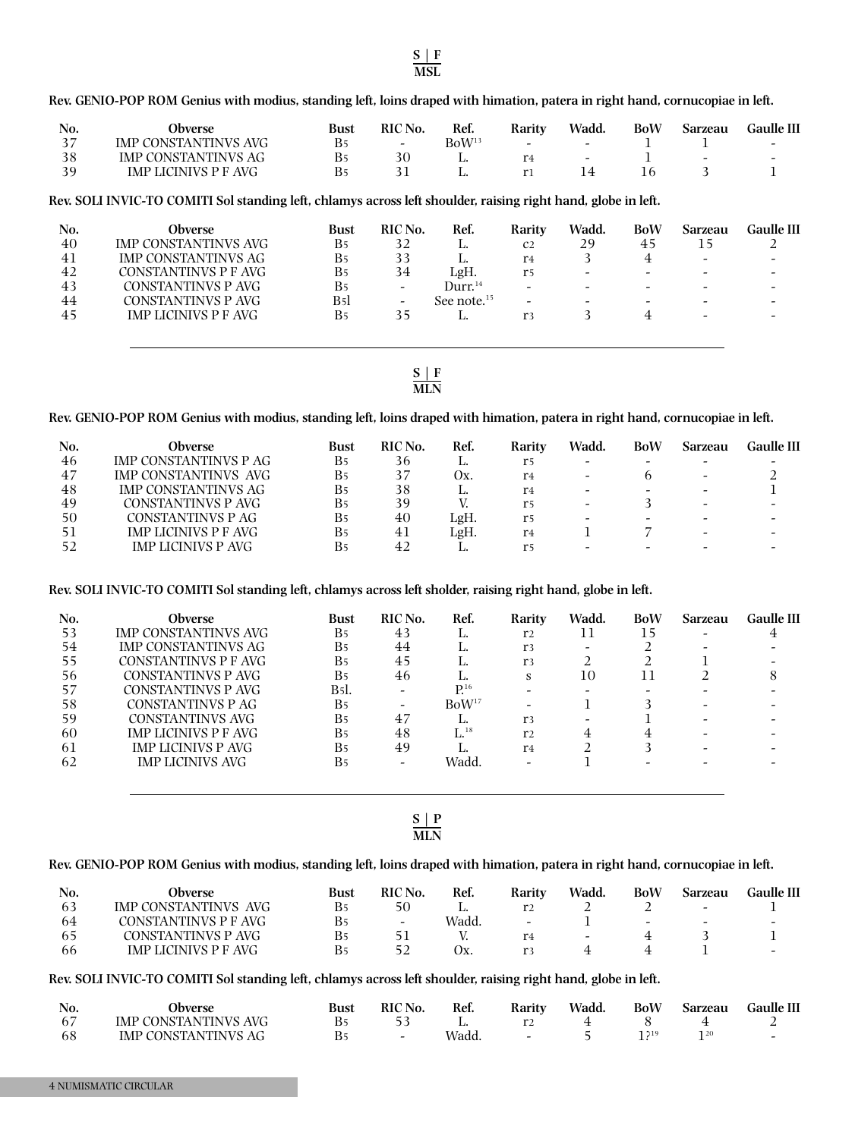NUMISMATIC CIRCULAR

Rev. GENIO-POP ROM Genius with modius, standing left, loins draped with himation, patera in right hand, cornucopiae in left.

| No. | Obverse                     | Bust | RIC No.                  | Ref.              | Rarity | Wadd.                    | BoW | Sarzeau | Gaulle III               |
|-----|-----------------------------|------|--------------------------|-------------------|--------|--------------------------|-----|---------|--------------------------|
|     | <b>IMP CONSTANTINVS AVG</b> |      | $\overline{\phantom{0}}$ | BoW <sup>13</sup> | $\sim$ | $\overline{\phantom{a}}$ |     |         | $\overline{\phantom{0}}$ |
|     | IMP CONSTANTINVS AG         |      |                          | ш.                |        | $\overline{a}$           |     | $\sim$  | $\overline{\phantom{0}}$ |
|     | IMP LICINIVS P F AVG        |      |                          |                   |        |                          |     |         |                          |

Rev. SOLI INVIC-TO COMITI Sol standing left, chlamys across left shoulder, raising right hand, globe in left.

| No. | Obverse                     | Bust                  | <b>RIC</b> No.           | Ref.              | Rarity                   | Wadd.                    | BoW                      | Sarzeau | Gaulle III |
|-----|-----------------------------|-----------------------|--------------------------|-------------------|--------------------------|--------------------------|--------------------------|---------|------------|
| 40  | <b>IMP CONSTANTINVS AVG</b> | Β5                    | 32                       | п.                | C <sub>2</sub>           | 29                       | 45                       |         |            |
| 41  | <b>IMP CONSTANTINVS AG</b>  | <b>B</b> 5            |                          | ٠.                | r <sub>4</sub>           |                          |                          | -       |            |
| 42  | CONSTANTINVS P F AVG        | Β5                    | 34                       | LgH.              | r5                       | $\overline{\phantom{0}}$ | $\overline{\phantom{0}}$ | -       |            |
| 43  | CONSTANTINVS P AVG          | <b>B</b> <sub>5</sub> | $\overline{\phantom{0}}$ | $\rm{Durr.}^{14}$ | $\overline{\phantom{0}}$ | $\overline{\phantom{0}}$ | $\overline{\phantom{0}}$ |         |            |
| 44  | CONSTANTINVS P AVG          | B5l                   |                          | See note. $15$    |                          | -                        |                          |         |            |
| 45  | <b>IMP LICINIVS P F AVG</b> | Β5                    | 35                       | ٠.                | r <sub>3</sub>           |                          |                          | -       |            |
|     |                             |                       |                          |                   |                          |                          |                          |         |            |

**S | F MLN**

### Rev. GENIO-POP ROM Genius with modius, standing left, loins draped with himation, patera in right hand, cornucopiae in left.

| No. | Obverse                    | Bust                  | RIC No.        | Ref. | Rarity | Wadd.                    | BoW | Sarzeau                  | Gaulle III |
|-----|----------------------------|-----------------------|----------------|------|--------|--------------------------|-----|--------------------------|------------|
| 46  | IMP CONSTANTINVS P AG      | B <sub>5</sub>        | 36             |      | r5     | -                        |     |                          |            |
| 47  | IMP CONSTANTINVS AVG       | <b>B</b> <sub>5</sub> |                | Ox.  | r4     | $\overline{\phantom{a}}$ |     | -                        |            |
| 48  | <b>IMP CONSTANTINVS AG</b> | <b>B</b> <sub>5</sub> | 38             | . .  | r4     | $\overline{\phantom{0}}$ |     | $\overline{\phantom{0}}$ |            |
| 49  | CONSTANTINVS P AVG         | <b>B</b> <sub>5</sub> | 39             |      | r5     | $\overline{\phantom{a}}$ |     | -                        |            |
| 50  | CONSTANTINVS P AG          | <b>B</b> <sub>5</sub> | 40             | LgH. | r5     | -                        |     |                          |            |
| 51  | IMP LICINIVS P F AVG       | <b>B</b> <sub>5</sub> | 41             | LgH. | r4     |                          |     | -                        |            |
| ドウ  | <b>IMP LICINIVS P AVG</b>  | <b>B</b> <sub>5</sub> | 4 <sub>2</sub> |      | r5     |                          |     |                          |            |

Rev. SOLI INVIC-TO COMITI Sol standing left, chlamys across left sholder, raising right hand, globe in left.

| Obverse                   | Bust                  | RIC No. | Ref.              | Rarity         | Wadd.                    | BoW | Sarzeau | <b>Gaulle III</b> |
|---------------------------|-----------------------|---------|-------------------|----------------|--------------------------|-----|---------|-------------------|
| IMP CONSTANTINVS AVG      | B5                    | 43      | L.                | r <sub>2</sub> | 11                       | 15  |         |                   |
| IMP CONSTANTINVS AG       | <b>B</b> <sub>5</sub> | 44      | L.                | r <sub>3</sub> | $\overline{\phantom{a}}$ |     |         |                   |
| CONSTANTINVS P F AVG      | <b>B</b> <sub>5</sub> | 45      | ٠.                | r <sub>3</sub> |                          |     |         |                   |
| CONSTANTINVS P AVG        | <b>B</b> <sub>5</sub> | 46      | ٠.                | s              | 10                       |     |         |                   |
| CONSTANTINVS P AVG        | B5l.                  |         | $P^{16}$          |                |                          |     |         |                   |
| CONSTANTINVS P AG         | <b>B</b> <sub>5</sub> |         | BoW <sup>17</sup> |                |                          |     |         |                   |
| CONSTANTINVS AVG          | <b>B</b> <sub>5</sub> | 47      | ٠.                | r <sub>3</sub> | $\overline{\phantom{0}}$ |     |         |                   |
| IMP LICINIVS P F AVG      | Β5                    | 48      | $\mathrm{L}^{18}$ | r <sub>2</sub> |                          |     |         |                   |
| <b>IMP LICINIVS P AVG</b> | <b>B</b> <sub>5</sub> | 49      |                   | r <sub>4</sub> |                          |     |         |                   |
| <b>IMP LICINIVS AVG</b>   | <b>B</b> <sub>5</sub> |         | Wadd.             |                |                          |     |         |                   |
|                           |                       |         |                   |                |                          |     |         |                   |

**S | P MLN**

# Rev. GENIO-POP ROM Genius with modius, standing left, loins draped with himation, patera in right hand, cornucopiae in left.

| No. | Obverse                     | Bust | <b>RIC</b> No.           | Ref.                    | Rarity         | Wadd.                    | BoW                      | <b>Sarzeau</b>           | Gaulle III |
|-----|-----------------------------|------|--------------------------|-------------------------|----------------|--------------------------|--------------------------|--------------------------|------------|
| 63  | IMP CONSTANTINVS AVG        | B5   | 50                       | . .                     | r <sub>2</sub> |                          |                          | $\overline{\phantom{0}}$ |            |
| 64  | CONSTANTINVS P F AVG        | B5   | $\overline{\phantom{0}}$ | Wadd.                   | $\sim$         |                          | $\overline{\phantom{0}}$ | -                        | -          |
| ხ5  | CONSTANTINVS P AVG          | B5   |                          |                         | r <sub>4</sub> | $\overline{\phantom{a}}$ |                          |                          |            |
| 66  | <b>IMP LICINIVS P F AVG</b> | Β5   |                          | $\mathbf{y}_\mathbf{x}$ | r3             |                          |                          |                          | -          |

Rev. SOLI INVIC-TO COMITI Sol standing left, chlamys across left shoulder, raising right hand, globe in left.

| No. | Obverse                     | <b>Bust</b> | <b>RIC</b> No. | Ref.  | Rarity                   | Wadd. | <b>BoW</b> | Sarzeau | Gaulle III |
|-----|-----------------------------|-------------|----------------|-------|--------------------------|-------|------------|---------|------------|
| -67 | <b>IMP CONSTANTINVS AVG</b> |             |                |       |                          |       |            |         |            |
| 68  | IMP CONSTANTINVS AG         |             |                | Wadd. | $\overline{\phantom{0}}$ |       |            | 120     |            |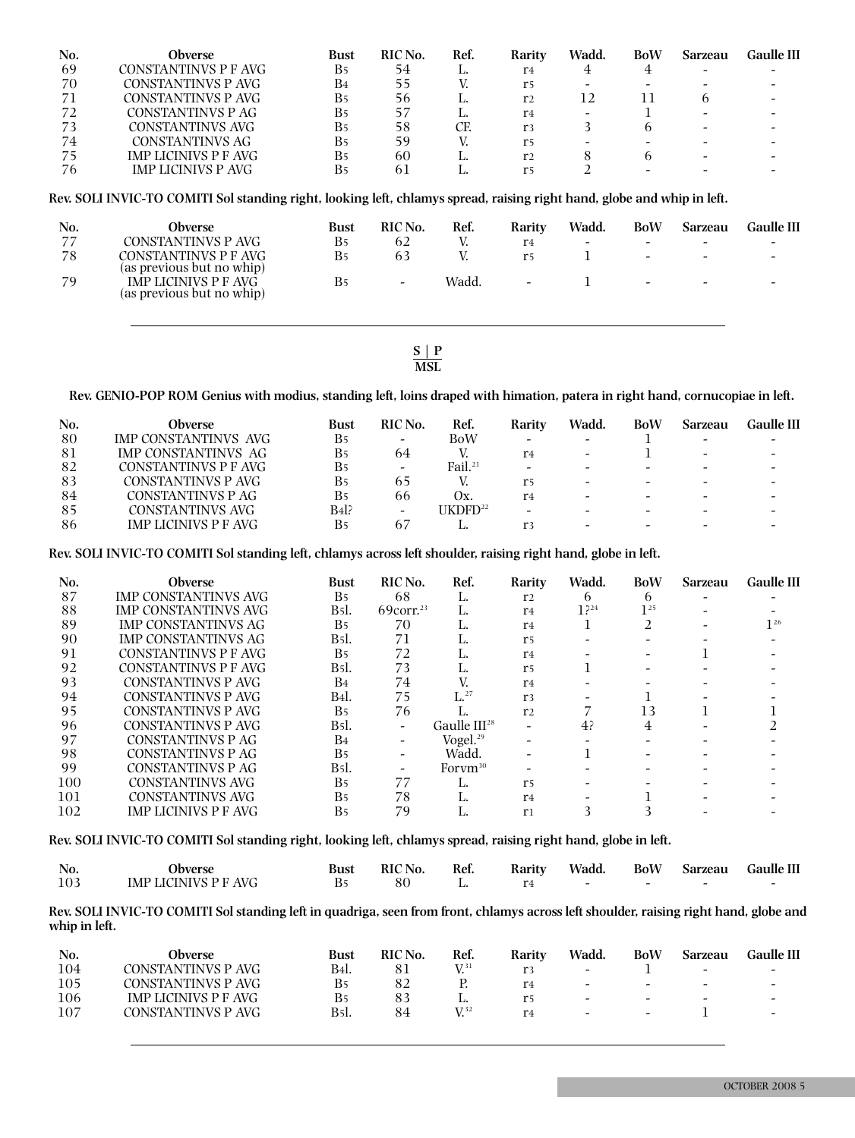| No. | Obverse                     | Bust                  | RIC No. | Ref. | Rarity         | Wadd. | BoW | Sarzeau | Gaulle III |
|-----|-----------------------------|-----------------------|---------|------|----------------|-------|-----|---------|------------|
| 69  | CONSTANTINVS P F AVG        | <b>B</b> <sub>5</sub> | 54      | ٠.   | r4             |       |     |         |            |
| 70  | CONSTANTINVS P AVG          | B4                    |         |      | r5             |       |     |         |            |
| 71  | CONSTANTINVS P AVG          | Β5                    | 56      |      | r <sub>2</sub> | 12    |     |         |            |
| 72  | CONSTANTINVS P AG           | Β5                    |         |      | r4             | -     |     |         |            |
| 73  | CONSTANTINVS AVG            | Β5                    | 58      | CF.  | r3             |       |     |         |            |
| 74  | CONSTANTINVS AG             | Β5                    | 59      |      | r5             |       |     |         |            |
| 75  | <b>IMP LICINIVS P F AVG</b> | Β5                    | 60      |      | r <sub>2</sub> |       |     |         |            |
| 76  | IMP LICINIVS P AVG          | Β5                    |         |      |                |       |     |         |            |

Rev. SOLI INVIC-TO COMITI Sol standing right, looking left, chlamys spread, raising right hand, globe and whip in left.

| No.<br>77<br>78<br>79 | Obverse<br>CONSTANTINVS P AVG<br>CONSTANTINVS P F AVG<br>(as previous but no whip)<br>IMP LICINIVS P F AVG | Bust<br><b>B</b> <sub>5</sub><br>Β5<br>Β5 | RIC No.<br>62<br>63<br>$\sim$ | Ref.<br>Wadd. | Rarity<br>r <sub>4</sub><br>r5<br>$\overline{\phantom{a}}$ | Wadd.<br>$\overline{\phantom{0}}$ | BoW<br>$\overline{\phantom{0}}$<br>$\overline{\phantom{0}}$<br>$\sim$ | Sarzeau<br>$\overline{\phantom{0}}$<br>$\overline{\phantom{0}}$<br>$\overline{\phantom{0}}$ | Gaulle III<br>$\overline{\phantom{a}}$<br>$\overline{\phantom{0}}$<br>$\overline{\phantom{0}}$ |
|-----------------------|------------------------------------------------------------------------------------------------------------|-------------------------------------------|-------------------------------|---------------|------------------------------------------------------------|-----------------------------------|-----------------------------------------------------------------------|---------------------------------------------------------------------------------------------|------------------------------------------------------------------------------------------------|
|                       | (as previous but no whip)                                                                                  |                                           |                               |               |                                                            |                                   |                                                                       |                                                                                             |                                                                                                |

**S | P MSL**

Rev. GENIO-POP ROM Genius with modius, standing left, loins draped with himation, patera in right hand, cornucopiae in left.

| No. | Obverse                     | Bust                  | RIC No.                  | Ref.                | Rarity                   | Wadd.                    | <b>BoW</b>               | Sarzeau | Gaulle III |
|-----|-----------------------------|-----------------------|--------------------------|---------------------|--------------------------|--------------------------|--------------------------|---------|------------|
| 80  | IMP CONSTANTINVS AVG        | B <sub>5</sub>        | $\sim$                   | <b>BoW</b>          |                          |                          |                          |         |            |
| 81  | <b>IMP CONSTANTINVS AG</b>  | B <sub>5</sub>        | 64                       |                     | r <sub>4</sub>           | $\overline{\phantom{0}}$ |                          |         |            |
| 82  | CONSTANTINVS P F AVG        | <b>B</b> <sub>5</sub> | $\overline{\phantom{0}}$ | Fail. $21$          | $\overline{\phantom{0}}$ |                          |                          |         |            |
| 83  | CONSTANTINVS P AVG          | <b>B</b> <sub>5</sub> | 65                       |                     | r5                       |                          |                          |         |            |
| 84  | CONSTANTINVS P AG           | <b>B</b> <sub>5</sub> | 66                       | $\mathbf{y}$        | r <sub>4</sub>           |                          |                          |         |            |
| 85  | CONSTANTINVS AVG            | B41?                  | $\overline{\phantom{0}}$ | UKDFD <sup>22</sup> | $\overline{\phantom{0}}$ |                          | $\overline{\phantom{a}}$ |         |            |
| 86  | <b>IMP LICINIVS P F AVG</b> | <b>B</b> <sub>5</sub> | -67                      |                     | r3                       |                          |                          |         |            |

Rev. SOLI INVIC-TO COMITI Sol standing left, chlamys across left shoulder, raising right hand, globe in left.

| No. | <b>Obverse</b>              | <b>Bust</b>           | RIC No.                  | Ref.              | Rarity         | Wadd.           | <b>BoW</b> | <b>Sarzeau</b> | <b>Gaulle III</b> |
|-----|-----------------------------|-----------------------|--------------------------|-------------------|----------------|-----------------|------------|----------------|-------------------|
| 87  | <b>IMP CONSTANTINVS AVG</b> | B <sub>5</sub>        | 68                       | L.                | r <sub>2</sub> | h               | h          |                |                   |
| 88  | IMP CONSTANTINVS AVG        | B5l.                  | $69$ corr. <sup>23</sup> | L.                | r <sub>4</sub> | 1 <sup>24</sup> | $1^{25}$   |                |                   |
| 89  | <b>IMP CONSTANTINVS AG</b>  | B <sub>5</sub>        | 70                       | ы.                | r <sub>4</sub> |                 |            |                | $1^{26}$          |
| 90  | <b>IMP CONSTANTINVS AG</b>  | B5l.                  | 71                       | L.                | r <sub>5</sub> |                 |            |                |                   |
| 91  | CONSTANTINVS P F AVG        | B <sub>5</sub>        | 72                       | ٠.                | r <sub>4</sub> |                 |            |                |                   |
| 92  | CONSTANTINVS P F AVG        | B5l.                  | 73                       | ы.                | r <sub>5</sub> |                 |            |                |                   |
| 93  | CONSTANTINVS P AVG          | B <sub>4</sub>        | 74                       |                   | r <sub>4</sub> |                 |            |                |                   |
| 94  | CONSTANTINVS P AVG          | B4l.                  | 75                       | $\mathrm{L}^{27}$ | r <sub>3</sub> |                 |            |                |                   |
| 95  | <b>CONSTANTINVS P AVG</b>   | <b>B</b> <sub>5</sub> | 76                       |                   | r <sub>2</sub> |                 | 13         |                |                   |
| 96  | CONSTANTINVS P AVG          | B5l.                  |                          | Gaulle $III^{28}$ |                | 4?              | 4          |                |                   |
| 97  | CONSTANTINVS P AG           | B <sub>4</sub>        |                          | Vogel. $29$       |                |                 |            |                |                   |
| 98  | CONSTANTINVS P AG           | B <sub>5</sub>        |                          | Wadd.             |                |                 |            |                |                   |
| 99  | CONSTANTINVS P AG           | B5l.                  |                          | For $vm^{30}$     |                |                 |            |                |                   |
| 100 | CONSTANTINVS AVG            | B <sub>5</sub>        | 77                       | ы.                | r <sub>5</sub> |                 |            |                |                   |
| 101 | <b>CONSTANTINVS AVG</b>     | B <sub>5</sub>        | 78                       | ы.                | r <sub>4</sub> |                 |            |                |                   |
| 102 | <b>IMP LICINIVS P F AVG</b> | B <sub>5</sub>        | 79                       |                   | r <sub>1</sub> |                 |            |                |                   |

Rev. SOLI INVIC-TO COMITI Sol standing right, looking left, chlamys spread, raising right hand, globe in left.

| No. | Obverse              | Bust | RIC No. | Ref. | Rarity | Wadd. | BoW                      | Sarzeau Gaulle III |
|-----|----------------------|------|---------|------|--------|-------|--------------------------|--------------------|
| 103 | IMP LICINIVS P F AVG |      |         |      |        |       | $\overline{\phantom{0}}$ |                    |

Rev. SOLI INVIC-TO COMITI Sol standing left in quadriga, seen from front, chlamys across left shoulder, raising right hand, globe and **whip in left.**

| No. | Obverse              | Bust                             | <b>RIC</b> No. | Ref.     | Rarity         | Wadd.                    | BoW                      | <b>Sarzeau</b>           | Gaulle III               |
|-----|----------------------|----------------------------------|----------------|----------|----------------|--------------------------|--------------------------|--------------------------|--------------------------|
| 104 | CONSTANTINVS P AVG   | <b>B</b> <sub>4</sub> <i>l</i> . |                | $V^{31}$ |                | $\overline{\phantom{a}}$ |                          | $\overline{\phantom{0}}$ | $\overline{\phantom{a}}$ |
| 105 | CONSTANTINVS P AVG   | Β5                               |                |          | r <sub>4</sub> | $\overline{\phantom{0}}$ | $\overline{\phantom{0}}$ | $\overline{\phantom{0}}$ | $\overline{\phantom{0}}$ |
| 106 | IMP LICINIVS P F AVG | B5                               |                | ш.       | r5             | -                        | $\sim$                   | $\overline{\phantom{0}}$ |                          |
| 107 | CONSTANTINVS P AVG   | <b>B</b> <sub>5</sub> l.         | 84             | $V^{32}$ | r4             | $\overline{\phantom{0}}$ | $\overline{\phantom{0}}$ |                          | $\overline{\phantom{0}}$ |
|     |                      |                                  |                |          |                |                          |                          |                          |                          |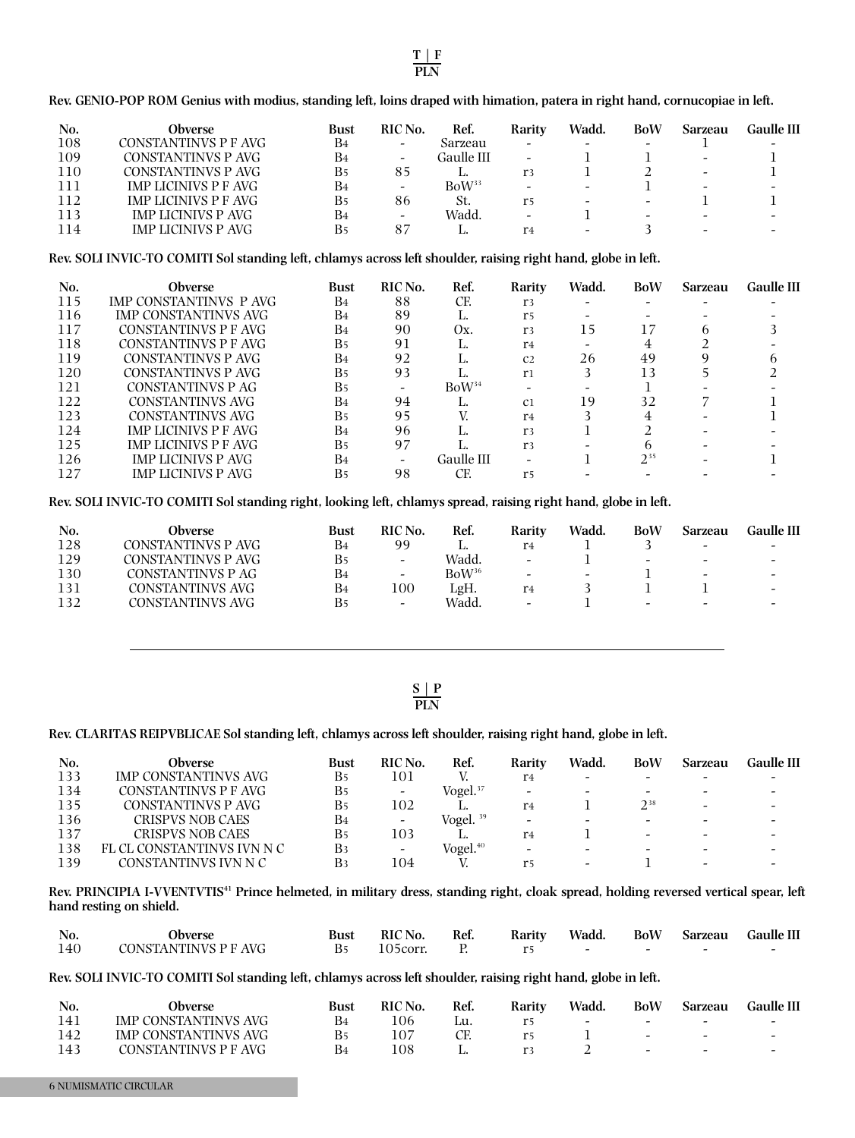Rev. GENIO-POP ROM Genius with modius, standing left, loins draped with himation, patera in right hand, cornucopiae in left.

| No. | Obverse                     | <b>Bust</b>    | RIC No. | Ref.              | Rarity                   | Wadd.                    | BoW                      | Sarzeau | Gaulle III |
|-----|-----------------------------|----------------|---------|-------------------|--------------------------|--------------------------|--------------------------|---------|------------|
| 108 | CONSTANTINVS P F AVG        | B <sub>4</sub> | -       | Sarzeau           | -                        |                          | $\overline{\phantom{0}}$ |         |            |
| 109 | CONSTANTINVS P AVG          | B4             | -       | Gaulle III        | $\overline{\phantom{a}}$ |                          |                          | -       |            |
| 110 | CONSTANTINVS P AVG          | Β5             | 85      |                   | r3                       |                          |                          | -       |            |
| 111 | <b>IMP LICINIVS P F AVG</b> | B4             | -       | BoW <sup>33</sup> |                          | -                        |                          |         |            |
| 112 | IMP LICINIVS P F AVG        | Β5             | 86      | St.               | r5                       | -                        | $\overline{\phantom{0}}$ |         |            |
| 113 | <b>IMP LICINIVS P AVG</b>   | B <sub>4</sub> | -       | Wadd.             | -                        |                          | -                        |         |            |
| 114 | <b>IMP LICINIVS P AVG</b>   | Β5             |         |                   | r <sub>4</sub>           | $\overline{\phantom{0}}$ |                          |         |            |

Rev. SOLI INVIC-TO COMITI Sol standing left, chlamys across left shoulder, raising right hand, globe in left.

| No. | <b>Obverse</b>                | Bust           | RIC No. | Ref.              | Rarity         | Wadd. | <b>BoW</b> | Sarzeau | <b>Gaulle III</b> |
|-----|-------------------------------|----------------|---------|-------------------|----------------|-------|------------|---------|-------------------|
| 115 | <b>IMP CONSTANTINVS P AVG</b> | B <sub>4</sub> | 88      | CF.               | r <sub>3</sub> |       |            |         |                   |
| 116 | <b>IMP CONSTANTINVS AVG</b>   | B4             | 89      | L.                | r5             |       |            |         |                   |
| 117 | CONSTANTINVS P F AVG          | B <sub>4</sub> | 90      | Ox.               | r <sub>3</sub> | 15    | 17         | h       |                   |
| 118 | CONSTANTINVS P F AVG          | B <sub>5</sub> | 91      | ы.                | r <sub>4</sub> |       |            |         |                   |
| 119 | CONSTANTINVS P AVG            | B <sub>4</sub> | 92      | ы.                | C <sub>2</sub> | 26    | 49         |         |                   |
| 120 | CONSTANTINVS P AVG            | B <sub>5</sub> | 93      |                   | r <sub>1</sub> |       | 13         |         |                   |
| 121 | CONSTANTINVS P AG             | B <sub>5</sub> |         | BoW <sup>34</sup> |                |       |            |         |                   |
| 122 | CONSTANTINVS AVG              | B <sub>4</sub> | 94      | ь.                | C <sub>1</sub> | 19    | 32         |         |                   |
| 123 | CONSTANTINVS AVG              | B <sub>5</sub> | 95      |                   | r <sub>4</sub> |       |            |         |                   |
| 124 | <b>IMP LICINIVS P F AVG</b>   | B <sub>4</sub> | 96      | ь.                | r <sub>3</sub> |       |            |         |                   |
| 125 | <b>IMP LICINIVS P F AVG</b>   | B <sub>5</sub> | 97      |                   | r <sub>3</sub> |       |            |         |                   |
| 126 | IMP LICINIVS P AVG            | B <sub>4</sub> |         | Gaulle III        |                |       | $2^{35}$   |         |                   |
| 127 | <b>IMP LICINIVS P AVG</b>     | B <sub>5</sub> | 98      | CF.               | r <sub>5</sub> |       |            |         |                   |

Rev. SOLI INVIC-TO COMITI Sol standing right, looking left, chlamys spread, raising right hand, globe in left.

| No. | Obverse            | Bust           | <b>RIC No.</b>           | Ref.              | Rarity                   | Wadd.                    | BoW                      | <b>Sarzeau</b>           | Gaulle III               |
|-----|--------------------|----------------|--------------------------|-------------------|--------------------------|--------------------------|--------------------------|--------------------------|--------------------------|
| 128 | CONSTANTINVS P AVG | B <sub>4</sub> | 99                       |                   | r4                       |                          |                          | $\overline{\phantom{0}}$ | $\overline{\phantom{0}}$ |
| 129 | CONSTANTINVS P AVG | Bs             | -                        | Wadd.             | $\overline{\phantom{0}}$ |                          | $\overline{\phantom{0}}$ | -                        | -                        |
| 130 | CONSTANTINVS P AG  | B4             | $\overline{\phantom{0}}$ | BoW <sup>36</sup> | $\overline{\phantom{0}}$ | $\overline{\phantom{0}}$ |                          | $\overline{\phantom{0}}$ | $\overline{\phantom{0}}$ |
| 131 | CONSTANTINVS AVG   | B <sub>4</sub> | 100                      | LgH.              | r4                       |                          |                          |                          | $\overline{\phantom{0}}$ |
| 132 | CONSTANTINVS AVG   | B <sub>5</sub> | -                        | Wadd.             | $\overline{\phantom{0}}$ |                          | $\overline{\phantom{0}}$ | $\sim$                   | $\overline{\phantom{a}}$ |

### **S | P PLN**

**Rev. CLARITAS REIPVBLICAE Sol standing left, chlamys across left shoulder, raising right hand, globe in left.**

| No. | Obverse                    | Bust                  | RIC No.                  | Ref.                 | Rarity                   | Wadd.                    | BoW      | Sarzeau                  | Gaulle III |
|-----|----------------------------|-----------------------|--------------------------|----------------------|--------------------------|--------------------------|----------|--------------------------|------------|
| 133 | IMP CONSTANTINVS AVG       | <b>B</b> <sub>5</sub> | 101                      |                      | r <sub>4</sub>           | -                        |          |                          |            |
| 134 | CONSTANTINVS P F AVG       | <b>B</b> <sub>5</sub> | $\overline{\phantom{0}}$ | Vogel. <sup>37</sup> | $\overline{\phantom{0}}$ | $\overline{\phantom{0}}$ | $\sim$   |                          |            |
| 135 | CONSTANTINVS P AVG         | <b>B</b> <sub>5</sub> | 102                      |                      | r <sub>4</sub>           |                          | $2^{38}$ | -                        |            |
| 136 | <b>CRISPVS NOB CAES</b>    | B4                    | -                        | Vogel. $39$          | -                        |                          |          |                          |            |
| 137 | <b>CRISPVS NOB CAES</b>    | <b>B</b> <sub>5</sub> | 103                      |                      | r <sub>4</sub>           |                          | $\sim$   | $\overline{\phantom{0}}$ |            |
| 138 | FL CL CONSTANTINVS IVN N C | B3                    | $\overline{\phantom{0}}$ | Vogel. <sup>40</sup> | $\overline{\phantom{a}}$ | $\overline{\phantom{0}}$ |          |                          |            |
| 139 | CONSTANTINVS IVN N C       | B3                    | 104                      |                      | r5                       | $\overline{\phantom{0}}$ |          |                          |            |
|     |                            |                       |                          |                      |                          |                          |          |                          |            |

Rev. PRINCIPIA I-VVENTVTIS<sup>41</sup> Prince helmeted, in military dress, standing right, cloak spread, holding reversed vertical spear, left **hand resting on shield.**

| No.  | Obverse              | <b>Bust</b> | <b>RIC</b> No. | Ref. | Rarity | Wadd. | BoW | Sarzeau | <b>Gaulle III</b> |
|------|----------------------|-------------|----------------|------|--------|-------|-----|---------|-------------------|
| -140 | CONSTANTINVS P F AVG |             | 105corr.       |      |        |       |     |         |                   |

Rev. SOLI INVIC-TO COMITI Sol standing left, chlamys across left shoulder, raising right hand, globe in left.

| No. | Obverse                     | <b>Bust</b> | <b>RIC</b> No. | Ref. | Rarity | Wadd.                    | BoW                      | <b>Sarzeau</b> | Gaulle III |
|-----|-----------------------------|-------------|----------------|------|--------|--------------------------|--------------------------|----------------|------------|
| 141 | IMP CONSTANTINVS AVG        |             | '06            |      |        | $\overline{\phantom{0}}$ | $\overline{\phantom{0}}$ | $\sim$         |            |
| 142 | <b>IMP CONSTANTINVS AVG</b> |             | LO7            |      |        |                          | $\overline{\phantom{0}}$ | $\sim$         |            |
| 143 | CONSTANTINVS P F AVG        |             | 108            |      |        |                          | $\sim$                   | $\sim$         |            |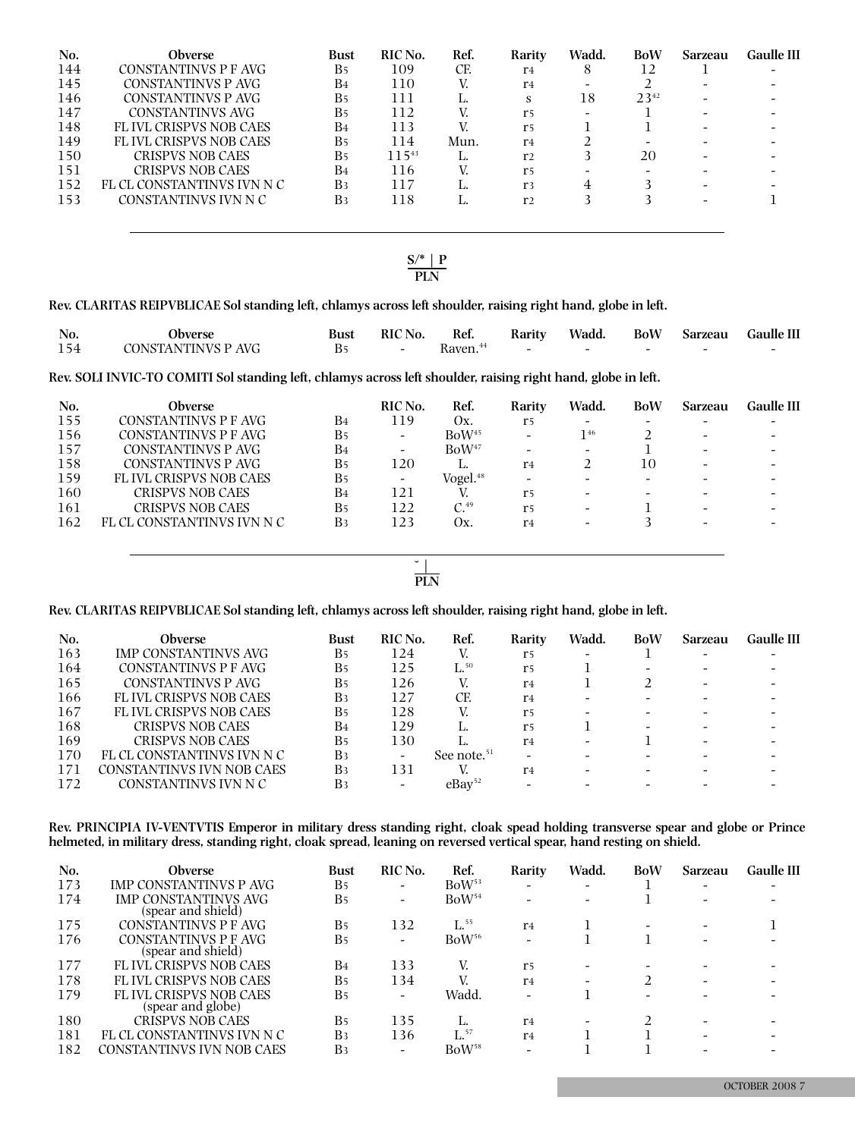| No. | Obverse                       | <b>Bust</b>    | RIC No. | Ref. | Rarity         | Wadd.                    | <b>BoW</b> | Sarzeau | <b>Gaulle II</b> |
|-----|-------------------------------|----------------|---------|------|----------------|--------------------------|------------|---------|------------------|
| 144 | CONSTANTINVS P F AVG          | B <sub>5</sub> | 109     | CF.  | r4             | 8                        | 12         |         |                  |
| 145 | CONSTANTINVS P AVG            | B <sub>4</sub> | 110     |      | r <sub>4</sub> |                          |            |         |                  |
| 146 | CONSTANTINVS P AVG            | B <sub>5</sub> | 111     |      | s              | 18                       | $23^{42}$  |         |                  |
| 147 | CONSTANTINVS AVG              | B <sub>5</sub> | 112     |      | r <sub>5</sub> | $\overline{\phantom{0}}$ |            |         |                  |
| 148 | FLIVL CRISPVS NOB CAES        | B <sub>4</sub> | 113     | V    | r <sub>5</sub> |                          |            |         |                  |
| 149 | <b>FLIVL CRISPVS NOB CAES</b> | B <sub>5</sub> | 114     | Mun. | r <sub>4</sub> |                          |            |         |                  |
| 150 | CRISPVS NOB CAES              | B <sub>5</sub> | 11.543  | ٠.   | r <sub>2</sub> |                          | 20         |         |                  |
| 151 | <b>CRISPVS NOB CAES</b>       | B <sub>4</sub> | 116     |      | r <sub>5</sub> |                          |            |         |                  |
| 152 | FL CL CONSTANTINVS IVN N C    | B <sub>3</sub> | 117     |      | r <sub>3</sub> |                          |            |         |                  |
| 153 | CONSTANTINVS IVN N C          | B <sub>3</sub> | 118     | ٠.   | r <sub>2</sub> |                          |            |         |                  |
|     |                               |                |         |      |                |                          |            |         |                  |
|     |                               |                |         |      |                |                          |            |         |                  |

### **S/\* | P PLN**

**Rev. CLARITAS REIPVBLICAE Sol standing left, chlamys across left shoulder, raising right hand, globe in left.**

| No. | <b>Obverse</b>     | <b>Bust</b> | RIC No.    | Ref.                 | Rarity |                                       |        | Wadd. BoW Sarzeau Gaulle III |
|-----|--------------------|-------------|------------|----------------------|--------|---------------------------------------|--------|------------------------------|
| 154 | CONSTANTINVS P AVG |             | $\sim$ $-$ | Raven. <sup>44</sup> |        | and the company of the company of the | $\sim$ |                              |

Rev. SOLI INVIC-TO COMITI Sol standing left, chlamys across left shoulder, raising right hand, globe in left.

| No. | Obverse                    |                       | RIC No.                  | Ref.                 | Rarity                       | Wadd.                    | <b>BoW</b>                   | Sarzeau                  | Gaulle III |
|-----|----------------------------|-----------------------|--------------------------|----------------------|------------------------------|--------------------------|------------------------------|--------------------------|------------|
| 155 | CONSTANTINVS P F AVG       | B <sub>4</sub>        | 119                      | Ox.                  | r5                           | -                        |                              |                          |            |
| 156 | CONSTANTINVS P F AVG       | <b>B</b> <sub>5</sub> | $\overline{\phantom{0}}$ | BoW <sup>45</sup>    | $\overline{\phantom{a}}$     | 146                      |                              | $\sim$                   |            |
| 157 | CONSTANTINVS P AVG         | B <sub>4</sub>        | $\overline{\phantom{0}}$ | BoW <sup>47</sup>    | $\qquad \qquad \blacksquare$ | $\overline{\phantom{0}}$ |                              |                          |            |
| 158 | CONSTANTINVS P AVG         | <b>B</b> <sub>5</sub> | 120                      |                      | r <sub>4</sub>               |                          | 10                           |                          |            |
| 159 | FL IVL CRISPVS NOB CAES    | B <sub>5</sub>        | $\overline{\phantom{0}}$ | Vogel. <sup>48</sup> | -                            | -                        |                              |                          |            |
| 160 | <b>CRISPVS NOB CAES</b>    | B <sub>4</sub>        | 121                      |                      | r5                           | $\overline{\phantom{0}}$ | $\qquad \qquad \blacksquare$ |                          |            |
| 161 | <b>CRISPVS NOB CAES</b>    | <b>B</b> <sub>5</sub> | 122                      | $C.^{49}$            | r <sub>5</sub>               | $\overline{\phantom{0}}$ |                              | $\overline{\phantom{0}}$ |            |
| 162 | FL CL CONSTANTINVS IVN N C | B3                    | 123                      | Οх.                  | r4                           | $\overline{\phantom{0}}$ |                              |                          |            |
|     |                            |                       |                          |                      |                              |                          |                              |                          |            |

**˘ | \_ PLN**

**Rev. CLARITAS REIPVBLICAE Sol standing left, chlamys across left shoulder, raising right hand, globe in left.**

| No. | <b>Obverse</b>              | <b>Bust</b>           | RIC No. | Ref.                    | Rarity         | Wadd. | BoW | Sarzeau | Gaulle III |
|-----|-----------------------------|-----------------------|---------|-------------------------|----------------|-------|-----|---------|------------|
| 163 | <b>IMP CONSTANTINVS AVG</b> | <b>B</b> <sub>5</sub> | 124     |                         | r5             |       |     |         |            |
| 164 | CONSTANTINVS P F AVG        | <b>B</b> 5            | 125     | $\mathrm{L}^{.50}$      | r <sub>5</sub> |       |     |         |            |
| 165 | CONSTANTINVS P AVG          | Β5                    | 126     |                         | r <sub>4</sub> |       |     |         |            |
| 166 | FL IVL CRISPVS NOB CAES     | B <sub>3</sub>        | 127     | CF.                     | r4             |       |     |         |            |
| 167 | FL IVL CRISPVS NOB CAES     | Β5                    | 128     |                         | r <sub>5</sub> |       |     |         |            |
| 168 | <b>CRISPVS NOB CAES</b>     | B <sub>4</sub>        | 129     |                         | r <sub>5</sub> |       |     |         |            |
| 169 | <b>CRISPVS NOB CAES</b>     | <b>B</b> <sub>5</sub> | 130     |                         | r4             | -     |     |         |            |
| 170 | FL CL CONSTANTINVS IVN N C  | B3                    |         | See note. <sup>51</sup> |                |       |     |         |            |
| 171 | CONSTANTINVS IVN NOB CAES   | B <sub>3</sub>        | 131     |                         | $r_{4}$        |       |     |         |            |
| 172 | CONSTANTINVS IVN N C        | B <sub>3</sub>        |         | $e$ Ba $v^{52}$         |                |       |     |         |            |

Rev. PRINCIPIA IV-VENTVTIS Emperor in military dress standing right, cloak spead holding transverse spear and globe or Prince helmeted, in military dress, standing right, cloak spread, leaning on reversed vertical spear, hand resting on shield.

| No. | <b>Obverse</b>                                     | <b>Bust</b>    | RIC No.                  | Ref.              | Rarity                   | Wadd.           | <b>BoW</b> | <b>Sarzeau</b> | Gaulle III |
|-----|----------------------------------------------------|----------------|--------------------------|-------------------|--------------------------|-----------------|------------|----------------|------------|
| 173 | IMP CONSTANTINVS P AVG                             | B <sub>5</sub> | $\overline{\phantom{0}}$ | BoW <sup>53</sup> | -                        | $\qquad \qquad$ |            |                |            |
| 174 | IMP CONSTANTINVS AVG<br>(spear and shield)         | B <sub>5</sub> | $\overline{\phantom{0}}$ | BoW <sup>54</sup> | -                        |                 |            |                |            |
| 175 | CONSTANTINVS P F AVG                               | B <sub>5</sub> | 132                      | $L^{55}$          | r <sub>4</sub>           |                 |            |                |            |
| 176 | CONSTANTINVS P F AVG<br>(spear and shield)         | B <sub>5</sub> |                          | BoW <sup>56</sup> | $\overline{\phantom{0}}$ |                 |            |                |            |
| 177 | <b>FLIVL CRISPVS NOB CAES</b>                      | B <sub>4</sub> | 133                      |                   | r <sub>5</sub>           |                 |            |                |            |
| 178 | <b>FLIVL CRISPVS NOB CAES</b>                      | B <sub>5</sub> | 134                      |                   | r <sub>4</sub>           |                 |            |                |            |
| 179 | <b>FLIVL CRISPVS NOB CAES</b><br>(spear and globe) | B <sub>5</sub> | $\overline{\phantom{0}}$ | Wadd.             | -                        |                 |            |                |            |
| 180 | <b>CRISPVS NOB CAES</b>                            | B <sub>5</sub> | 135                      | L.                | r <sub>4</sub>           |                 |            |                |            |
| 181 | FL CL CONSTANTINVS IVN N C                         | B <sub>3</sub> | 136                      | $\mathbf{L}$ , 57 | r <sub>4</sub>           |                 |            |                |            |
| 182 | CONSTANTINVS IVN NOB CAES                          | B <sub>3</sub> |                          | BoW <sup>58</sup> | -                        |                 |            |                |            |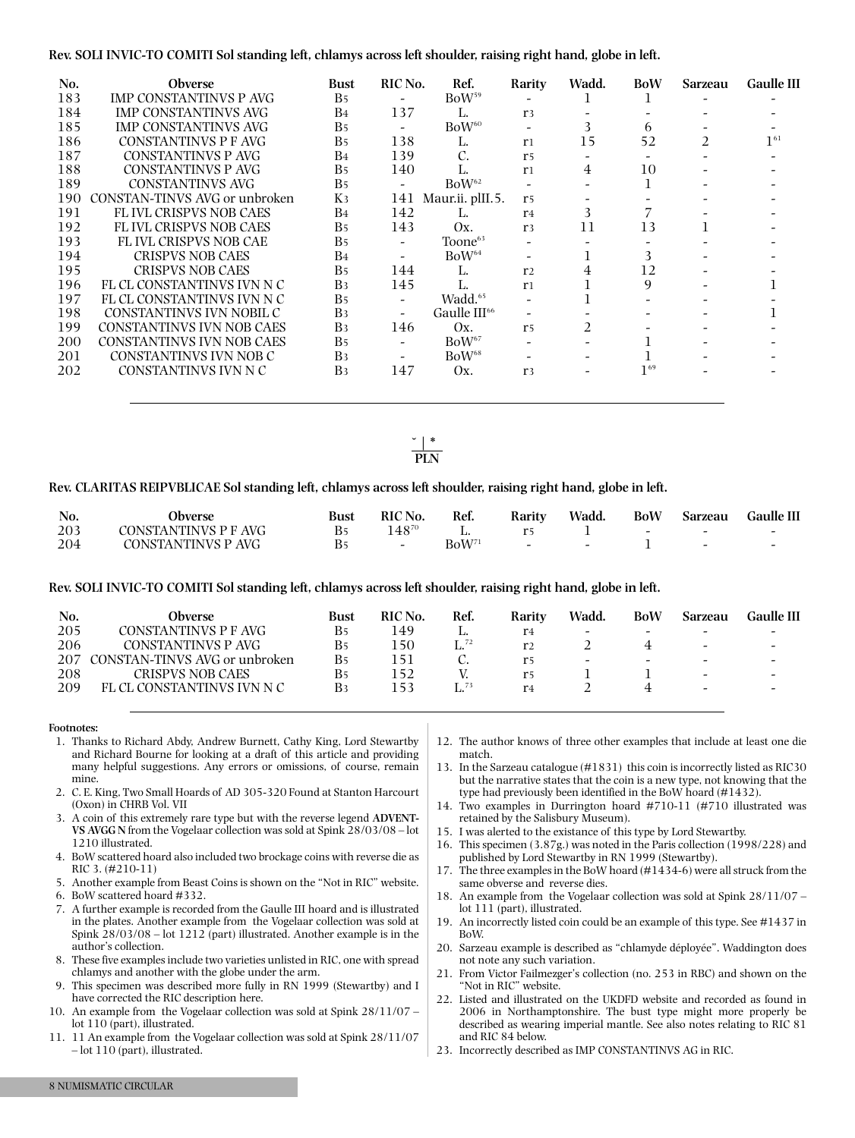### Rev. SOLI INVIC-TO COMITI Sol standing left, chlamys across left shoulder, raising right hand, globe in left.

| No. | <b>Obverse</b>                | <b>Bust</b>           | RIC No.                  | Ref.                | Rarity         | Wadd.          | <b>BoW</b> | Sarzeau        | <b>Gaulle II</b> |
|-----|-------------------------------|-----------------------|--------------------------|---------------------|----------------|----------------|------------|----------------|------------------|
| 183 | IMP CONSTANTINVS P AVG        | B <sub>5</sub>        |                          | BoW <sup>59</sup>   |                |                |            |                |                  |
| 184 | <b>IMP CONSTANTINVS AVG</b>   | B4                    | 137                      | L.                  | r <sub>3</sub> |                |            |                |                  |
| 185 | <b>IMP CONSTANTINVS AVG</b>   | <b>B</b> <sub>5</sub> | $\overline{\phantom{a}}$ | BoW <sup>60</sup>   |                |                | 6          |                |                  |
| 186 | CONSTANTINVS P F AVG          | <b>B</b> <sub>5</sub> | 138                      | L.                  | r <sub>1</sub> | 15             | 52         | $\mathfrak{D}$ | $1^{61}$         |
| 187 | CONSTANTINVS P AVG            | B4                    | 139                      | C.                  | r <sub>5</sub> |                |            |                |                  |
| 188 | CONSTANTINVS P AVG            | <b>B</b> <sub>5</sub> | 140                      | L.                  | r <sub>1</sub> | 4              | 10         |                |                  |
| 189 | <b>CONSTANTINVS AVG</b>       | B <sub>5</sub>        |                          | BoW <sup>62</sup>   |                |                |            |                |                  |
| 190 | CONSTAN-TINVS AVG or unbroken | Kз                    | 141                      | Maur.ii. plII.5.    | r <sub>5</sub> |                |            |                |                  |
| 191 | <b>FLIVL CRISPVS NOB CAES</b> | B4                    | 142                      | L.                  | r <sub>4</sub> | 3              |            |                |                  |
| 192 | <b>FLIVL CRISPVS NOB CAES</b> | <b>B</b> <sub>5</sub> | 143                      | Ox.                 | r <sub>3</sub> | 11             | 13         |                |                  |
| 193 | <b>FLIVL CRISPVS NOB CAE</b>  | <b>B</b> <sub>5</sub> |                          | Toone <sup>63</sup> |                |                |            |                |                  |
| 194 | <b>CRISPVS NOB CAES</b>       | B4                    | $\overline{\phantom{a}}$ | BoW <sup>64</sup>   |                |                | 3          |                |                  |
| 195 | <b>CRISPVS NOB CAES</b>       | B <sub>5</sub>        | 144                      | L.                  | r <sub>2</sub> |                | 12         |                |                  |
| 196 | FL CL CONSTANTINVS IVN N C    | B <sub>3</sub>        | 145                      | L.                  | r <sub>1</sub> |                | 9          |                |                  |
| 197 | FL CL CONSTANTINVS IVN N C    | <b>B</b> <sub>5</sub> | $\overline{\phantom{0}}$ | Wadd. <sup>65</sup> |                |                |            |                |                  |
| 198 | CONSTANTINVS IVN NOBIL C      | B <sub>3</sub>        |                          | Gaulle $III66$      |                |                |            |                |                  |
| 199 | CONSTANTINVS IVN NOB CAES     | B <sub>3</sub>        | 146                      | Ox.                 | r <sub>5</sub> | $\mathfrak{D}$ |            |                |                  |
| 200 | CONSTANTINVS IVN NOB CAES     | <b>B</b> <sub>5</sub> |                          | BoW <sup>67</sup>   |                |                |            |                |                  |
| 201 | CONSTANTINVS IVN NOB C        | B <sub>3</sub>        |                          | BoW <sup>68</sup>   |                |                |            |                |                  |
| 202 | CONSTANTINVS IVN N C          | B <sub>3</sub>        | 147                      | Ox.                 | r <sub>3</sub> |                | $1^{69}$   |                |                  |
|     |                               |                       |                          |                     |                |                |            |                |                  |

**˘ | \*\_ PLN**

#### **Rev. CLARITAS REIPVBLICAE Sol standing left, chlamys across left shoulder, raising right hand, globe in left.**

| No. | <b>Jbverse</b>       | <b>Bust</b> | <b>RIC</b> No. | Ref.          | Rarity                   | Wadd.                    | <b>BoW</b>               | <b>Sarzeau</b> | <b>Gaulle III</b> |
|-----|----------------------|-------------|----------------|---------------|--------------------------|--------------------------|--------------------------|----------------|-------------------|
| 203 | CONSTANTINVS P F AVG |             | 14870          |               |                          |                          | $\overline{\phantom{0}}$ | -              |                   |
| 204 | CONSTANTINVS P AVG   |             |                | $\rm BoW^{7}$ | $\overline{\phantom{a}}$ | $\overline{\phantom{0}}$ |                          |                |                   |

### Rev. SOLI INVIC-TO COMITI Sol standing left, chlamys across left shoulder, raising right hand, globe in left.

| No. | Obverse                       | <b>Bust</b>    | RIC No. | Ref.               | Rarity         | Wadd.                    | BoW                      | Sarzeau                  | Gaulle III               |
|-----|-------------------------------|----------------|---------|--------------------|----------------|--------------------------|--------------------------|--------------------------|--------------------------|
| 205 | CONSTANTINVS P F AVG          |                | 149     | L.                 | r <sub>4</sub> | -                        | $\overline{\phantom{0}}$ | -                        |                          |
| 206 | CONSTANTINVS P AVG            | Β5             | -50     | $\mathsf{L}^{.72}$ | r <sub>2</sub> |                          |                          | $\overline{\phantom{0}}$ | $\overline{\phantom{0}}$ |
| 207 | CONSTAN-TINVS AVG or unbroken | Β5             |         |                    | r5             | $\overline{\phantom{0}}$ | $\overline{\phantom{0}}$ | $\overline{\phantom{0}}$ |                          |
| 208 | CRISPVS NOB CAES              | Β5             |         |                    | r5             |                          |                          | $\sim$                   | $\sim$                   |
| 209 | FL CL CONSTANTINVS IVN N C    | B <sub>3</sub> | ' 53    | $\int_{1}^{73}$    | r <sub>4</sub> |                          |                          | $\overline{\phantom{0}}$ |                          |
|     |                               |                |         |                    |                |                          |                          |                          |                          |

#### **Footnotes:**

- 1. Thanks to Richard Abdy, Andrew Burnett, Cathy King, Lord Stewartby and Richard Bourne for looking at a draft of this article and providing many helpful suggestions. Any errors or omissions, of course, remain mine.
- 2. C. E. King, Two Small Hoards of AD 305-320 Found at Stanton Harcourt (Oxon) in CHRB Vol. VII
- 3. A coin of this extremely rare type but with the reverse legend **ADVENT-VS AVGG N** from the Vogelaar collection was sold at Spink 28/03/08 – lot 1210 illustrated.
- 4. BoW scattered hoard also included two brockage coins with reverse die as RIC 3. (#210-11)
- 5. Another example from Beast Coins is shown on the "Not in RIC" website.
- 6. BoW scattered hoard #332.
- 7. A further example is recorded from the Gaulle III hoard and is illustrated in the plates. Another example from the Vogelaar collection was sold at Spink 28/03/08 – lot 1212 (part) illustrated. Another example is in the author's collection.
- 8. These five examplesinclude two varieties unlisted in RIC, one with spread chlamys and another with the globe under the arm.
- 9. This specimen was described more fully in RN 1999 (Stewartby) and I have corrected the RIC description here.
- 10. An example from the Vogelaar collection was sold at Spink 28/11/07 lot 110 (part), illustrated.
- 11. 11 An example from the Vogelaar collection was sold at Spink 28/11/07 – lot 110 (part), illustrated.
- 12. The author knows of three other examples that include at least one die match.
- 13. In the Sarzeau catalogue (#1831) this coin is incorrectly listed as RIC30 but the narrative states that the coin is a new type, not knowing that the type had previously been identified in the BoW hoard (#1432).
- 14. Two examples in Durrington hoard #710-11 (#710 illustrated was retained by the Salisbury Museum).
- 15. I was alerted to the existance of this type by Lord Stewartby.
- 16. This specimen (3.87g.) was noted in the Paris collection (1998/228) and published by Lord Stewartby in RN 1999 (Stewartby).
- 17. The three examplesin the BoW hoard (#1434-6) were allstruck from the same obverse and reverse dies.
- 18. An example from the Vogelaar collection was sold at Spink 28/11/07 lot 111 (part), illustrated.
- 19. An incorrectly listed coin could be an example of this type. See #1437 in BoW.
- 20. Sarzeau example is described as "chlamyde déployée". Waddington does not note any such variation.
- 21. From Victor Failmezger's collection (no. 253 in RBC) and shown on the "Not in RIC" website.
- 22. Listed and illustrated on the UKDFD website and recorded as found in 2006 in Northamptonshire. The bust type might more properly be described as wearing imperial mantle. See also notes relating to RIC 81 and RIC 84 below.
- 23. Incorrectly described as IMP CONSTANTINVS AG in RIC.